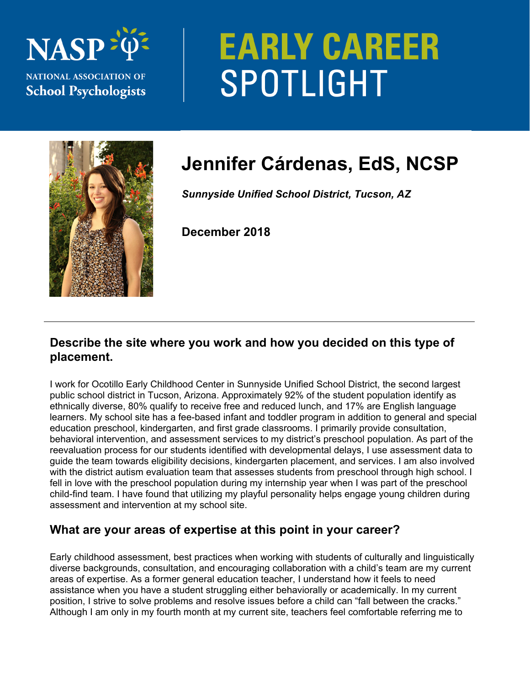# **NASP NATIONAL ASSOCIATION OF School Psychologists**

# **EARLY CAREER** SPOTLIGHT



# **Jennifer Cárdenas, EdS, NCSP**

*Sunnyside Unified School District, Tucson, AZ* 

**December 2018** 

## **Describe the site where you work and how you decided on this type of placement.**

I work for Ocotillo Early Childhood Center in Sunnyside Unified School District, the second largest public school district in Tucson, Arizona. Approximately 92% of the student population identify as ethnically diverse, 80% qualify to receive free and reduced lunch, and 17% are English language learners. My school site has a fee-based infant and toddler program in addition to general and special education preschool, kindergarten, and first grade classrooms. I primarily provide consultation, behavioral intervention, and assessment services to my district's preschool population. As part of the reevaluation process for our students identified with developmental delays, I use assessment data to guide the team towards eligibility decisions, kindergarten placement, and services. I am also involved with the district autism evaluation team that assesses students from preschool through high school. I fell in love with the preschool population during my internship year when I was part of the preschool child-find team. I have found that utilizing my playful personality helps engage young children during assessment and intervention at my school site.

# **What are your areas of expertise at this point in your career?**

Early childhood assessment, best practices when working with students of culturally and linguistically diverse backgrounds, consultation, and encouraging collaboration with a child's team are my current areas of expertise. As a former general education teacher, I understand how it feels to need assistance when you have a student struggling either behaviorally or academically. In my current position, I strive to solve problems and resolve issues before a child can "fall between the cracks." Although I am only in my fourth month at my current site, teachers feel comfortable referring me to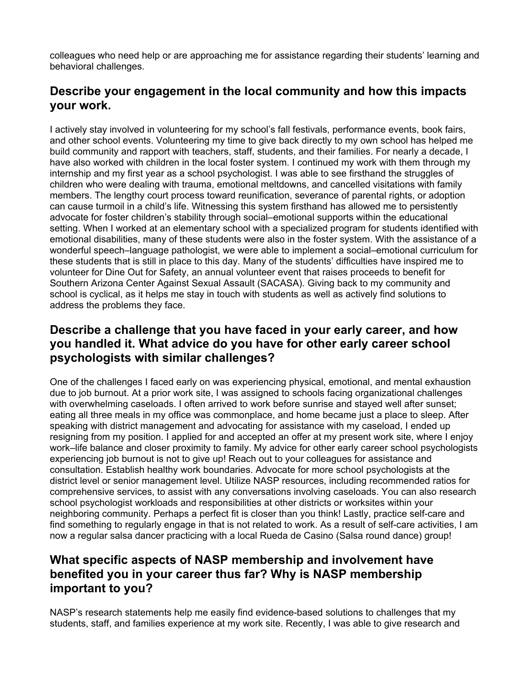colleagues who need help or are approaching me for assistance regarding their students' learning and behavioral challenges.

## **Describe your engagement in the local community and how this impacts your work.**

I actively stay involved in volunteering for my school's fall festivals, performance events, book fairs, and other school events. Volunteering my time to give back directly to my own school has helped me build community and rapport with teachers, staff, students, and their families. For nearly a decade, I have also worked with children in the local foster system. I continued my work with them through my internship and my first year as a school psychologist. I was able to see firsthand the struggles of children who were dealing with trauma, emotional meltdowns, and cancelled visitations with family members. The lengthy court process toward reunification, severance of parental rights, or adoption can cause turmoil in a child's life. Witnessing this system firsthand has allowed me to persistently advocate for foster children's stability through social–emotional supports within the educational setting. When I worked at an elementary school with a specialized program for students identified with emotional disabilities, many of these students were also in the foster system. With the assistance of a wonderful speech–language pathologist, we were able to implement a social–emotional curriculum for these students that is still in place to this day. Many of the students' difficulties have inspired me to volunteer for Dine Out for Safety, an annual volunteer event that raises proceeds to benefit for Southern Arizona Center Against Sexual Assault (SACASA). Giving back to my community and school is cyclical, as it helps me stay in touch with students as well as actively find solutions to address the problems they face.

#### **Describe a challenge that you have faced in your early career, and how you handled it. What advice do you have for other early career school psychologists with similar challenges?**

One of the challenges I faced early on was experiencing physical, emotional, and mental exhaustion due to job burnout. At a prior work site, I was assigned to schools facing organizational challenges with overwhelming caseloads. I often arrived to work before sunrise and stayed well after sunset; eating all three meals in my office was commonplace, and home became just a place to sleep. After speaking with district management and advocating for assistance with my caseload, I ended up resigning from my position. I applied for and accepted an offer at my present work site, where I enjoy work–life balance and closer proximity to family. My advice for other early career school psychologists experiencing job burnout is not to give up! Reach out to your colleagues for assistance and consultation. Establish healthy work boundaries. Advocate for more school psychologists at the district level or senior management level. Utilize NASP resources, including recommended ratios for comprehensive services, to assist with any conversations involving caseloads. You can also research school psychologist workloads and responsibilities at other districts or worksites within your neighboring community. Perhaps a perfect fit is closer than you think! Lastly, practice self-care and find something to regularly engage in that is not related to work. As a result of self-care activities, I am now a regular salsa dancer practicing with a local Rueda de Casino (Salsa round dance) group!

## **What specific aspects of NASP membership and involvement have benefited you in your career thus far? Why is NASP membership important to you?**

NASP's research statements help me easily find evidence-based solutions to challenges that my students, staff, and families experience at my work site. Recently, I was able to give research and